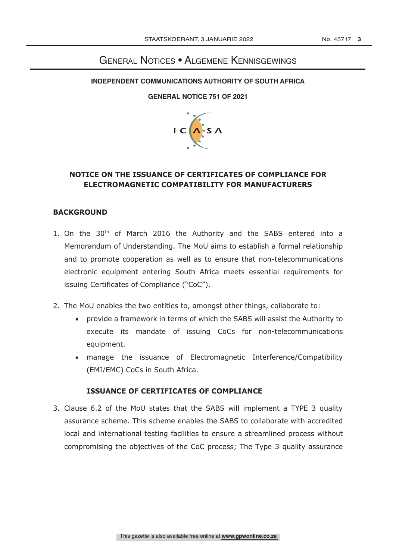# **GENERAL NOTICES • ALGEMENE KENNISGEWINGS**

### **INDEPENDENT COMMUNICATIONS AUTHORITY OF SOUTH AFRICA**

#### **GENERAL NOTICE 751 OF 2021**



# **NOTICE ON THE ISSUANCE OF CERTIFICATES OF COMPLIANCE FOR ELECTROMAGNETIC COMPATIBILITY FOR MANUFACTURERS**

## **BACKGROUND**

- 1. On the 30<sup>th</sup> of March 2016 the Authority and the SABS entered into a Memorandum of Understanding. The MoU aims to establish a formal relationship and to promote cooperation as well as to ensure that non-telecommunications electronic equipment entering South Africa meets essential requirements for issuing Certificates of Compliance ("CoC").
- 2. The MoU enables the two entities to, amongst other things, collaborate to:
	- provide a framework in terms of which the SABS will assist the Authority to execute its mandate of issuing CoCs for non-telecommunications equipment.
	- manage the issuance of Electromagnetic Interference/Compatibility (EMI/EMC) CoCs in South Africa.

## **ISSUANCE OF CERTIFICATES OF COMPLIANCE**

3. Clause 6.2 of the MoU states that the SABS will implement a TYPE 3 quality assurance scheme. This scheme enables the SABS to collaborate with accredited local and international testing facilities to ensure a streamlined process without compromising the objectives of the CoC process; The Type 3 quality assurance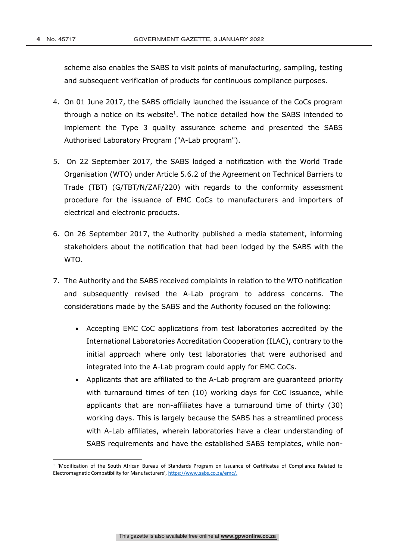scheme also enables the SABS to visit points of manufacturing, sampling, testing and subsequent verification of products for continuous compliance purposes.

- 4. On 01 June 2017, the SABS officially launched the issuance of the CoCs program through a notice on its website<sup>1</sup>. The notice detailed how the SABS intended to implement the Type 3 quality assurance scheme and presented the SABS Authorised Laboratory Program ("A-Lab program").
- 5. On 22 September 2017, the SABS lodged a notification with the World Trade Organisation (WTO) under Article 5.6.2 of the Agreement on Technical Barriers to Trade (TBT) (G/TBT/N/ZAF/220) with regards to the conformity assessment procedure for the issuance of EMC CoCs to manufacturers and importers of electrical and electronic products.
- 6. On 26 September 2017, the Authority published a media statement, informing stakeholders about the notification that had been lodged by the SABS with the WTO.
- 7. The Authority and the SABS received complaints in relation to the WTO notification and subsequently revised the A-Lab program to address concerns. The considerations made by the SABS and the Authority focused on the following:
	- Accepting EMC CoC applications from test laboratories accredited by the International Laboratories Accreditation Cooperation (ILAC), contrary to the initial approach where only test laboratories that were authorised and integrated into the A-Lab program could apply for EMC CoCs.
	- Applicants that are affiliated to the A-Lab program are guaranteed priority with turnaround times of ten (10) working days for CoC issuance, while applicants that are non-affiliates have a turnaround time of thirty (30) working days. This is largely because the SABS has a streamlined process with A-Lab affiliates, wherein laboratories have a clear understanding of SABS requirements and have the established SABS templates, while non-

<sup>1</sup> 'Modification of the South African Bureau of Standards Program on Issuance of Certificates of Compliance Related to Electromagnetic Compatibility for Manufacturers', https://www.sabs.co.za/emc/.